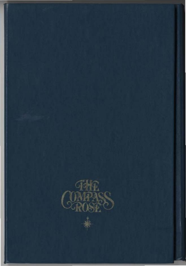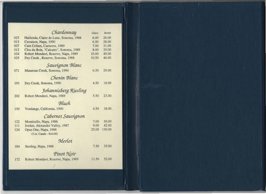|     | Chardonnay                             | Glass | Bottle |  |
|-----|----------------------------------------|-------|--------|--|
| 023 | Hacienda, Claire de Lune, Sonoma, 1988 | 6.00  | 26.00  |  |
| 013 | Cuvaison, Napa, 1990                   | 6.50  | 28.00  |  |
| 007 | Cain Cellars, Carneros, 1989           | 7.00  | 31.00  |  |
| 012 | Clos du Bois, "Calcaire", Sonoma, 1989 | 8.00  | 35.00  |  |
| 034 | Robert Mondavi, Reserve, Napa, 1989    | 10.00 | 45.00  |  |
| 025 | Dry Creek, Reserve, Sonoma, 1988       | 10.50 | 46.00  |  |
|     | Sauvignon Blanc                        |       |        |  |
| 071 | Matanzas Creek, Sonoma, 1990           | 6.50  | 29.00  |  |
|     | Chenin Blanc                           |       |        |  |
| 193 | Dry Creek, Sonoma, 1990                | 4.50  | 18.00  |  |
|     | Johannisberg Riesling                  |       |        |  |
| 202 | Robert Mondavi, Napa, 1989             | 5.50  | 23.00  |  |
|     | Blush                                  |       |        |  |
| 150 | Vendange, California, 1990             | 4.50  | 18.00  |  |
|     | Cabernet Sauvignon                     |       |        |  |
| 122 | Monticello, Napa, 1988                 | 7.00  | 30.00  |  |
| 111 | Jordan, Alexander Valley, 1987         | 9.00  | 42.00  |  |
| 124 | Opus One, Napa, 1988                   | 25.00 | 130.00 |  |
|     | (3 oz. Carafe - \$16.00)               |       |        |  |
|     | Merlot                                 |       |        |  |
| 184 | Sterling, Napa, 1988                   | 7.50  | 35.00  |  |
|     | Pinot Noir                             |       |        |  |
| 172 | Robert Mondavi, Reserve, Napa, 1989    | 11.50 | 52.00  |  |
|     |                                        |       |        |  |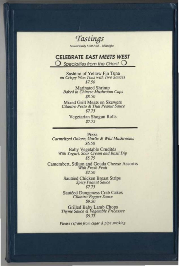Tastings Served Daily 5:00 P.M. - Midnight

#### **CELEBRATE EAST MEETS WEST**

 $\bigcup$  Specialties from the Orient  $\bigcirc$ 

Sashimi of Yellow Fin Tuna on Crispy Won Tons with Two Sauces \$7.50

Marinated Shrimp<br>Baked in Chinese Mushroom Caps \$8.50

Mixed Grill Meats on Skewers<br>Cilantro Pesto & Thai Peanut Sauce \$7.75

> Vegetarian Shogun Rolls  $$7.75$

Pizza Carmelized Onions, Garlic & Wild Mushrooms \$6.50

Baby Vegetable Crudités<br>With Yogurt, Sour Cream and Basil Dip  $$5.75$ 

Camembert, Stilton and Gouda Cheese Assortis With Fresh Fruit \$7.50

> Sautéed Chicken Breast Strips<br>Spicy Peanut Sauce  $$7.75$

Sautéed Dungeness Crab Cakes<br>Cilantro-Pepper Sauce \$9.50

**Grilled Baby Lamb Chops** Thyme Sauce & Vegetable Fricassee \$9.75

Please refrain from cigar & pipe smoking.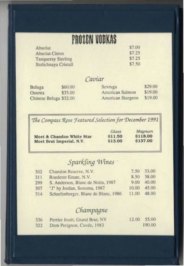# **PROZEN VODKAS**

| Absolut                   | 37.00  |
|---------------------------|--------|
| <b>Absolut Citron</b>     | \$7.25 |
| <b>Tanqueray Sterling</b> | \$7.25 |
| Stolichnaya Cristall      | \$7.50 |

### Caviar

| Beluga                 | \$60.00 | Sevruga           | \$29,00 |
|------------------------|---------|-------------------|---------|
| Ossetra                | \$33.00 | American Salmon   | \$19.00 |
| Chinese Beluga \$32.00 |         | American Sturgeon | \$19.00 |

The Compass Rose Featured Selection for December 1991

|                           | Glass   | Magnum   |
|---------------------------|---------|----------|
| Moet & Chandon White Star | \$11.50 | \$118.00 |
| Moet Brut Imperial, N.V.  | \$13.00 | \$137.00 |
|                           |         |          |

## Sparkling Wines

| 302 | Chandon Reserve, N.V.                | 7.50  | 33.00 |
|-----|--------------------------------------|-------|-------|
| 311 | Roederer Estate, N.V.                | 8.50  | 38.00 |
| 299 | S. Anderson, Blanc de Noirs, 1987    | 9.00  | 40.00 |
| 307 | "J" by Jordan, Sonoma, 1987          | 10.00 | 45.00 |
| 314 | Scharfenberger, Blanc de Blanc, 1986 | 11.00 | 48.00 |

## Champagne

| 336 | Perrier Jouët, Grand Brut, NV | 12.00 55.00 |
|-----|-------------------------------|-------------|
| 322 | Dom Perignon, Cuvée, 1983     | 190.00      |